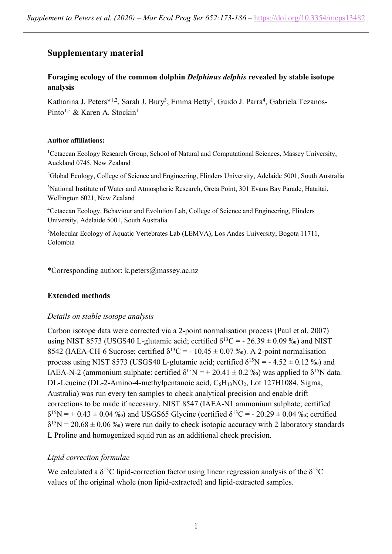# **Supplementary material**

# **Foraging ecology of the common dolphin** *Delphinus delphis* **revealed by stable isotope analysis**

Katharina J. Peters\*<sup>1,2</sup>, Sarah J. Bury<sup>3</sup>, Emma Betty<sup>1</sup>, Guido J. Parra<sup>4</sup>, Gabriela Tezanos-Pinto<sup>1,5</sup> & Karen A. Stockin<sup>1</sup>

#### **Author affiliations:**

<sup>1</sup>Cetacean Ecology Research Group, School of Natural and Computational Sciences, Massey University, Auckland 0745, New Zealand

<sup>2</sup>Global Ecology, College of Science and Engineering, Flinders University, Adelaide 5001, South Australia

<sup>3</sup>National Institute of Water and Atmospheric Research, Greta Point, 301 Evans Bay Parade, Hataitai, Wellington 6021, New Zealand

<sup>4</sup>Cetacean Ecology, Behaviour and Evolution Lab, College of Science and Engineering, Flinders University, Adelaide 5001, South Australia

5 Molecular Ecology of Aquatic Vertebrates Lab (LEMVA), Los Andes University, Bogota 11711, Colombia

\*Corresponding author: k.peters@massey.ac.nz

## **Extended methods**

## *Details on stable isotope analysis*

Carbon isotope data were corrected via a 2-point normalisation process (Paul et al. 2007) using NIST 8573 (USGS40 L-glutamic acid; certified  $\delta^{13}C = -26.39 \pm 0.09$  ‰) and NIST 8542 (IAEA-CH-6 Sucrose; certified  $\delta^{13}$ C = - 10.45 ± 0.07 ‰). A 2-point normalisation process using NIST 8573 (USGS40 L-glutamic acid; certified  $\delta^{15}N = -4.52 \pm 0.12$  ‰) and IAEA-N-2 (ammonium sulphate: certified  $\delta^{15}N = +20.41 \pm 0.2$  ‰) was applied to  $\delta^{15}N$  data. DL-Leucine (DL-2-Amino-4-methylpentanoic acid,  $C_6H_{13}NO_2$ , Lot 127H1084, Sigma, Australia) was run every ten samples to check analytical precision and enable drift corrections to be made if necessary. NIST 8547 (IAEA-N1 ammonium sulphate; certified  $\delta^{15}N = +0.43 \pm 0.04 \%$ ) and USGS65 Glycine (certified  $\delta^{13}C = -20.29 \pm 0.04 \%$ ); certified  $\delta^{15}N = 20.68 \pm 0.06 \%$  were run daily to check isotopic accuracy with 2 laboratory standards L Proline and homogenized squid run as an additional check precision.

# *Lipid correction formulae*

We calculated a  $\delta^{13}$ C lipid-correction factor using linear regression analysis of the  $\delta^{13}$ C values of the original whole (non lipid-extracted) and lipid-extracted samples.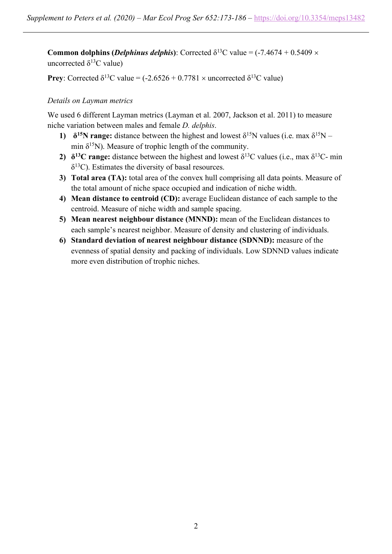**Common dolphins (***Delphinus delphis*): Corrected  $\delta^{13}$ C value = (-7.4674 + 0.5409  $\times$ uncorrected  $\delta^{13}$ C value)

**Prey**: Corrected  $\delta^{13}$ C value = (-2.6526 + 0.7781  $\times$  uncorrected  $\delta^{13}$ C value)

## *Details on Layman metrics*

We used 6 different Layman metrics (Layman et al. 2007, Jackson et al. 2011) to measure niche variation between males and female *D. delphis*.

- **1)**  $\delta^{15}$ N range: distance between the highest and lowest  $\delta^{15}$ N values (i.e. max  $\delta^{15}$ N min  $\delta^{15}$ N). Measure of trophic length of the community.
- **2)**  $\delta^{13}$ C range: distance between the highest and lowest  $\delta^{13}$ C values (i.e., max  $\delta^{13}$ C- min  $\delta^{13}$ C). Estimates the diversity of basal resources.
- **3) Total area (TA):** total area of the convex hull comprising all data points. Measure of the total amount of niche space occupied and indication of niche width.
- **4) Mean distance to centroid (CD):** average Euclidean distance of each sample to the centroid. Measure of niche width and sample spacing.
- **5) Mean nearest neighbour distance (MNND):** mean of the Euclidean distances to each sample's nearest neighbor. Measure of density and clustering of individuals.
- **6) Standard deviation of nearest neighbour distance (SDNND):** measure of the evenness of spatial density and packing of individuals. Low SDNND values indicate more even distribution of trophic niches.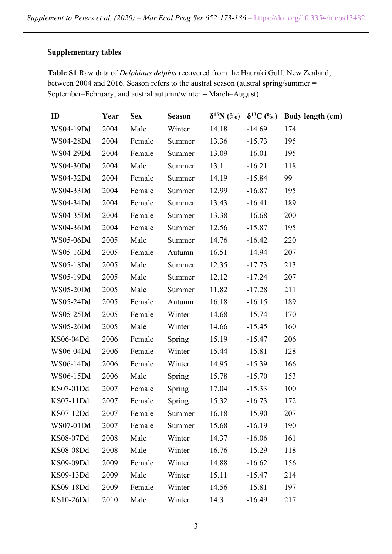## **Supplementary tables**

**Table S1** Raw data of *Delphinus delphis* recovered from the Hauraki Gulf, New Zealand, between 2004 and 2016. Season refers to the austral season (austral spring/summer = September–February; and austral autumn/winter = March–August).

| ID        | Year | <b>Sex</b> | <b>Season</b> | $\delta^{15}N$ (%o) | $\delta^{13}C$ (%o) | Body length (cm) |
|-----------|------|------------|---------------|---------------------|---------------------|------------------|
| WS04-19Dd | 2004 | Male       | Winter        | 14.18               | $-14.69$            | 174              |
| WS04-28Dd | 2004 | Female     | Summer        | 13.36               | $-15.73$            | 195              |
| WS04-29Dd | 2004 | Female     | Summer        | 13.09               | $-16.01$            | 195              |
| WS04-30Dd | 2004 | Male       | Summer        | 13.1                | $-16.21$            | 118              |
| WS04-32Dd | 2004 | Female     | Summer        | 14.19               | $-15.84$            | 99               |
| WS04-33Dd | 2004 | Female     | Summer        | 12.99               | $-16.87$            | 195              |
| WS04-34Dd | 2004 | Female     | Summer        | 13.43               | $-16.41$            | 189              |
| WS04-35Dd | 2004 | Female     | Summer        | 13.38               | $-16.68$            | 200              |
| WS04-36Dd | 2004 | Female     | Summer        | 12.56               | $-15.87$            | 195              |
| WS05-06Dd | 2005 | Male       | Summer        | 14.76               | $-16.42$            | 220              |
| WS05-16Dd | 2005 | Female     | Autumn        | 16.51               | $-14.94$            | 207              |
| WS05-18Dd | 2005 | Male       | Summer        | 12.35               | $-17.73$            | 213              |
| WS05-19Dd | 2005 | Male       | Summer        | 12.12               | $-17.24$            | 207              |
| WS05-20Dd | 2005 | Male       | Summer        | 11.82               | $-17.28$            | 211              |
| WS05-24Dd | 2005 | Female     | Autumn        | 16.18               | $-16.15$            | 189              |
| WS05-25Dd | 2005 | Female     | Winter        | 14.68               | $-15.74$            | 170              |
| WS05-26Dd | 2005 | Male       | Winter        | 14.66               | $-15.45$            | 160              |
| KS06-04Dd | 2006 | Female     | <b>Spring</b> | 15.19               | $-15.47$            | 206              |
| WS06-04Dd | 2006 | Female     | Winter        | 15.44               | $-15.81$            | 128              |
| WS06-14Dd | 2006 | Female     | Winter        | 14.95               | $-15.39$            | 166              |
| WS06-15Dd | 2006 | Male       | Spring        | 15.78               | $-15.70$            | 153              |
| KS07-01Dd | 2007 | Female     | <b>Spring</b> | 17.04               | $-15.33$            | 100              |
| KS07-11Dd | 2007 | Female     | Spring        | 15.32               | $-16.73$            | 172              |
| KS07-12Dd | 2007 | Female     | Summer        | 16.18               | $-15.90$            | 207              |
| WS07-01Dd | 2007 | Female     | Summer        | 15.68               | $-16.19$            | 190              |
| KS08-07Dd | 2008 | Male       | Winter        | 14.37               | $-16.06$            | 161              |
| KS08-08Dd | 2008 | Male       | Winter        | 16.76               | $-15.29$            | 118              |
| KS09-09Dd | 2009 | Female     | Winter        | 14.88               | $-16.62$            | 156              |
| KS09-13Dd | 2009 | Male       | Winter        | 15.11               | $-15.47$            | 214              |
| KS09-18Dd | 2009 | Female     | Winter        | 14.56               | $-15.81$            | 197              |
| KS10-26Dd | 2010 | Male       | Winter        | 14.3                | $-16.49$            | 217              |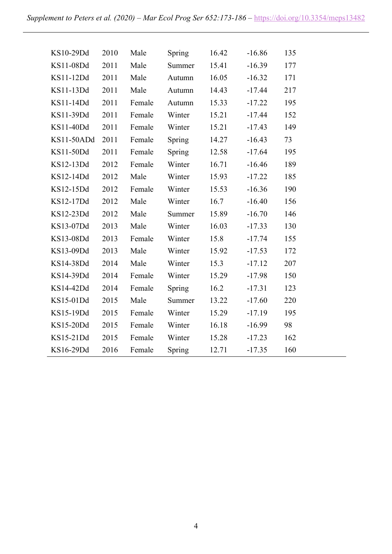| KS10-29Dd  | 2010 | Male   | Spring | 16.42 | $-16.86$ | 135 |
|------------|------|--------|--------|-------|----------|-----|
| KS11-08Dd  | 2011 | Male   | Summer | 15.41 | $-16.39$ | 177 |
| KS11-12Dd  | 2011 | Male   | Autumn | 16.05 | $-16.32$ | 171 |
| KS11-13Dd  | 2011 | Male   | Autumn | 14.43 | $-17.44$ | 217 |
| KS11-14Dd  | 2011 | Female | Autumn | 15.33 | $-17.22$ | 195 |
| KS11-39Dd  | 2011 | Female | Winter | 15.21 | $-17.44$ | 152 |
| KS11-40Dd  | 2011 | Female | Winter | 15.21 | $-17.43$ | 149 |
| KS11-50ADd | 2011 | Female | Spring | 14.27 | $-16.43$ | 73  |
| KS11-50Dd  | 2011 | Female | Spring | 12.58 | $-17.64$ | 195 |
| KS12-13Dd  | 2012 | Female | Winter | 16.71 | $-16.46$ | 189 |
| KS12-14Dd  | 2012 | Male   | Winter | 15.93 | $-17.22$ | 185 |
| KS12-15Dd  | 2012 | Female | Winter | 15.53 | $-16.36$ | 190 |
| KS12-17Dd  | 2012 | Male   | Winter | 16.7  | $-16.40$ | 156 |
| KS12-23Dd  | 2012 | Male   | Summer | 15.89 | $-16.70$ | 146 |
| KS13-07Dd  | 2013 | Male   | Winter | 16.03 | $-17.33$ | 130 |
| KS13-08Dd  | 2013 | Female | Winter | 15.8  | $-17.74$ | 155 |
| KS13-09Dd  | 2013 | Male   | Winter | 15.92 | $-17.53$ | 172 |
| KS14-38Dd  | 2014 | Male   | Winter | 15.3  | $-17.12$ | 207 |
| KS14-39Dd  | 2014 | Female | Winter | 15.29 | $-17.98$ | 150 |
| KS14-42Dd  | 2014 | Female | Spring | 16.2  | $-17.31$ | 123 |
| KS15-01Dd  | 2015 | Male   | Summer | 13.22 | $-17.60$ | 220 |
| KS15-19Dd  | 2015 | Female | Winter | 15.29 | $-17.19$ | 195 |
| KS15-20Dd  | 2015 | Female | Winter | 16.18 | $-16.99$ | 98  |
| KS15-21Dd  | 2015 | Female | Winter | 15.28 | $-17.23$ | 162 |
| KS16-29Dd  | 2016 | Female | Spring | 12.71 | $-17.35$ | 160 |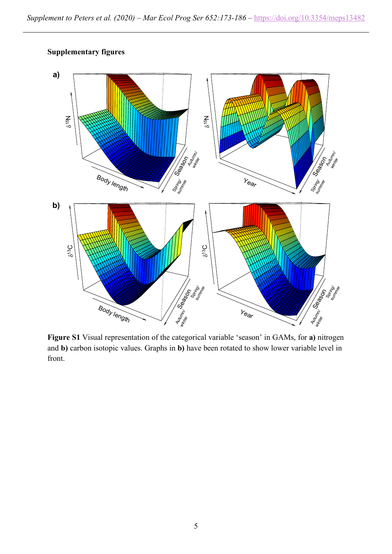

**Supplementary figures**

**Figure S1** Visual representation of the categorical variable 'season' in GAMs, for **a)** nitrogen and **b)** carbon isotopic values. Graphs in **b)** have been rotated to show lower variable level in front.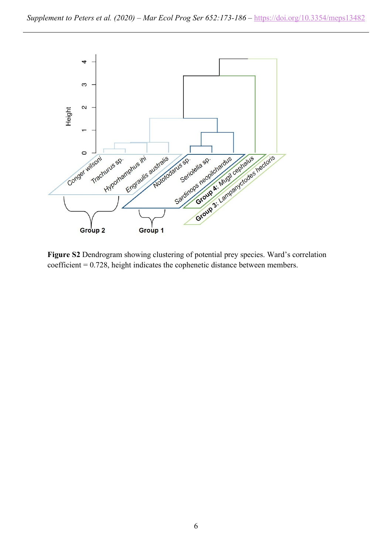

**Figure S2** Dendrogram showing clustering of potential prey species. Ward's correlation coefficient = 0.728, height indicates the cophenetic distance between members.